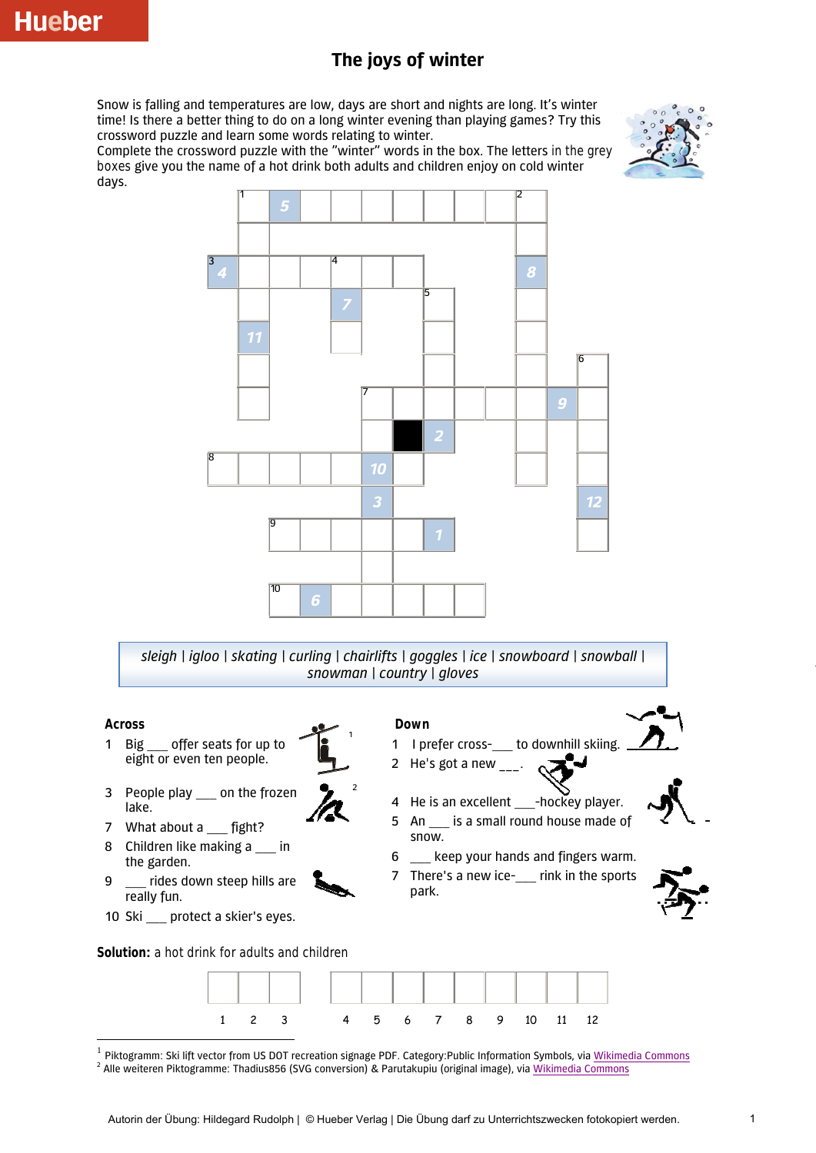## **The joys of winter**

Snow is falling and temperatures are low, days are short and nights are long. It's winter time! Is there a better thing to do on a long winter evening than playing games? Try this crossword puzzle and learn some words relating to winter.



Complete the crossword puzzle with the "winter" words in the box. The letters in the grey boxes give you the name of a hot drink both adults and children enjoy on cold winter days.



*sleigh | igloo | skating | curling | chairlifts | goggles | ice | snowboard | snowball | snowman | country | gloves*

1

2

## **Across**

1

- 1 Big offer seats for up to eight or even ten people.
- 3 People play on the frozen lake.
- 7 What about a \_\_\_ fight?
- 8 Children like making a \_\_\_ in the garden.
- 9 \_\_\_ rides down steep hills are really fun.
- 10 Ski \_\_ protect a skier's eyes.
- **Down**
- 1 I prefer cross-\_\_ to downhill skiing.
- 2 He's got a new
- 4 He is an excellent -hockey player.
- 5 An \_\_\_ is a small round house made of snow.
- 6 \_\_\_ keep your hands and fingers warm.
- 7 There's a new ice-<br>rink in the sports park.



**Solution:** a hot drink for adults and children



Piktogramm: Ski lift vector from US DOT recreation signage PDF. Category:Public Information Symbols, via [Wikimedia Commons](http://commons.wikimedia.org/wiki/File:Skilift.svg)

<sup>&</sup>lt;sup>2</sup> Alle weiteren Piktogramme: Thadius856 (SVG conversion) & Parutakupiu (original image), via *Wikimedia Commons*